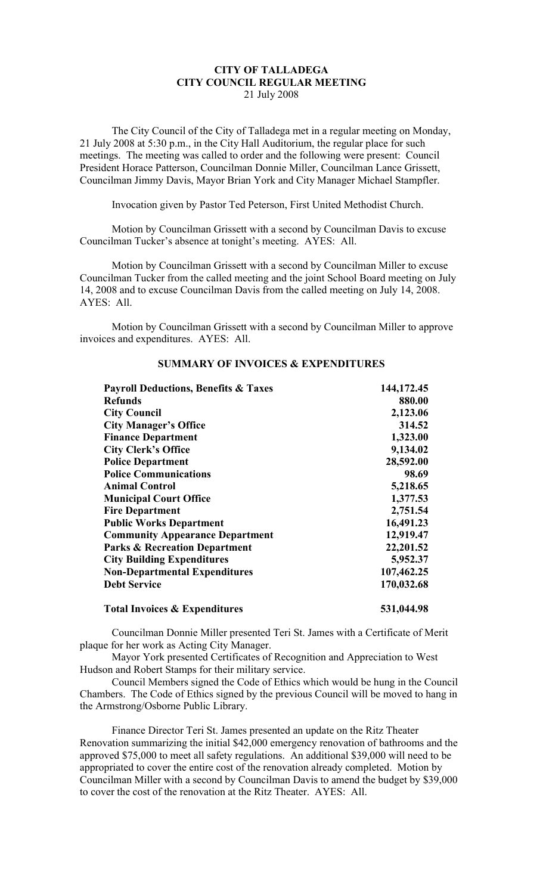## **CITY OF TALLADEGA CITY COUNCIL REGULAR MEETING** 21 July 2008

The City Council of the City of Talladega met in a regular meeting on Monday, 21 July 2008 at 5:30 p.m., in the City Hall Auditorium, the regular place for such meetings. The meeting was called to order and the following were present: Council President Horace Patterson, Councilman Donnie Miller, Councilman Lance Grissett, Councilman Jimmy Davis, Mayor Brian York and City Manager Michael Stampfler.

Invocation given by Pastor Ted Peterson, First United Methodist Church.

Motion by Councilman Grissett with a second by Councilman Davis to excuse Councilman Tucker's absence at tonight's meeting. AYES: All.

Motion by Councilman Grissett with a second by Councilman Miller to excuse Councilman Tucker from the called meeting and the joint School Board meeting on July 14, 2008 and to excuse Councilman Davis from the called meeting on July 14, 2008. AYES: All.

Motion by Councilman Grissett with a second by Councilman Miller to approve invoices and expenditures. AYES: All.

| <b>Payroll Deductions, Benefits &amp; Taxes</b><br><b>Refunds</b><br><b>City Council</b><br><b>City Manager's Office</b><br><b>Finance Department</b><br><b>City Clerk's Office</b><br><b>Police Department</b><br><b>Police Communications</b><br><b>Animal Control</b><br><b>Municipal Court Office</b><br><b>Fire Department</b><br><b>Public Works Department</b> | 144,172.45<br>880.00<br>2,123.06<br>314.52<br>1,323.00<br>9,134.02<br>28,592.00<br>98.69<br>5,218.65<br>1,377.53<br>2,751.54<br>16,491.23 |                                          |            |
|-----------------------------------------------------------------------------------------------------------------------------------------------------------------------------------------------------------------------------------------------------------------------------------------------------------------------------------------------------------------------|-------------------------------------------------------------------------------------------------------------------------------------------|------------------------------------------|------------|
|                                                                                                                                                                                                                                                                                                                                                                       |                                                                                                                                           | <b>Community Appearance Department</b>   | 12,919.47  |
|                                                                                                                                                                                                                                                                                                                                                                       |                                                                                                                                           | <b>Parks &amp; Recreation Department</b> | 22,201.52  |
|                                                                                                                                                                                                                                                                                                                                                                       |                                                                                                                                           | <b>City Building Expenditures</b>        | 5,952.37   |
|                                                                                                                                                                                                                                                                                                                                                                       |                                                                                                                                           | <b>Non-Departmental Expenditures</b>     | 107,462.25 |
|                                                                                                                                                                                                                                                                                                                                                                       |                                                                                                                                           | <b>Debt Service</b>                      | 170,032.68 |
|                                                                                                                                                                                                                                                                                                                                                                       |                                                                                                                                           | <b>Total Invoices &amp; Expenditures</b> | 531,044.98 |

## **SUMMARY OF INVOICES & EXPENDITURES**

Councilman Donnie Miller presented Teri St. James with a Certificate of Merit plaque for her work as Acting City Manager.

Mayor York presented Certificates of Recognition and Appreciation to West Hudson and Robert Stamps for their military service.

Council Members signed the Code of Ethics which would be hung in the Council Chambers. The Code of Ethics signed by the previous Council will be moved to hang in the Armstrong/Osborne Public Library.

Finance Director Teri St. James presented an update on the Ritz Theater Renovation summarizing the initial \$42,000 emergency renovation of bathrooms and the approved \$75,000 to meet all safety regulations. An additional \$39,000 will need to be appropriated to cover the entire cost of the renovation already completed. Motion by Councilman Miller with a second by Councilman Davis to amend the budget by \$39,000 to cover the cost of the renovation at the Ritz Theater. AYES: All.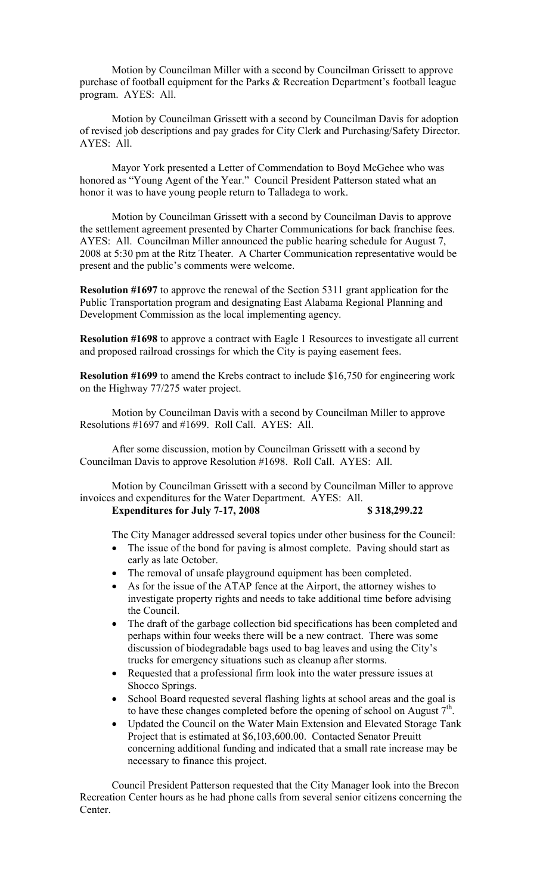Motion by Councilman Miller with a second by Councilman Grissett to approve purchase of football equipment for the Parks & Recreation Department's football league program. AYES: All.

Motion by Councilman Grissett with a second by Councilman Davis for adoption of revised job descriptions and pay grades for City Clerk and Purchasing/Safety Director. AYES: All.

Mayor York presented a Letter of Commendation to Boyd McGehee who was honored as "Young Agent of the Year." Council President Patterson stated what an honor it was to have young people return to Talladega to work.

Motion by Councilman Grissett with a second by Councilman Davis to approve the settlement agreement presented by Charter Communications for back franchise fees. AYES: All. Councilman Miller announced the public hearing schedule for August 7, 2008 at 5:30 pm at the Ritz Theater. A Charter Communication representative would be present and the public's comments were welcome.

**Resolution #1697** to approve the renewal of the Section 5311 grant application for the Public Transportation program and designating East Alabama Regional Planning and Development Commission as the local implementing agency.

**Resolution #1698** to approve a contract with Eagle 1 Resources to investigate all current and proposed railroad crossings for which the City is paying easement fees.

**Resolution #1699** to amend the Krebs contract to include \$16,750 for engineering work on the Highway 77/275 water project.

Motion by Councilman Davis with a second by Councilman Miller to approve Resolutions #1697 and #1699. Roll Call. AYES: All.

After some discussion, motion by Councilman Grissett with a second by Councilman Davis to approve Resolution #1698. Roll Call. AYES: All.

Motion by Councilman Grissett with a second by Councilman Miller to approve invoices and expenditures for the Water Department. AYES: All. **Expenditures for July 7-17, 2008 \$ 318,299.22**

The City Manager addressed several topics under other business for the Council:

- The issue of the bond for paving is almost complete. Paving should start as early as late October.
- The removal of unsafe playground equipment has been completed.
- As for the issue of the ATAP fence at the Airport, the attorney wishes to investigate property rights and needs to take additional time before advising the Council.
- The draft of the garbage collection bid specifications has been completed and perhaps within four weeks there will be a new contract. There was some discussion of biodegradable bags used to bag leaves and using the City's trucks for emergency situations such as cleanup after storms.
- Requested that a professional firm look into the water pressure issues at Shocco Springs.
- School Board requested several flashing lights at school areas and the goal is to have these changes completed before the opening of school on August  $7<sup>th</sup>$ .
- Updated the Council on the Water Main Extension and Elevated Storage Tank Project that is estimated at \$6,103,600.00. Contacted Senator Preuitt concerning additional funding and indicated that a small rate increase may be necessary to finance this project.

Council President Patterson requested that the City Manager look into the Brecon Recreation Center hours as he had phone calls from several senior citizens concerning the Center.